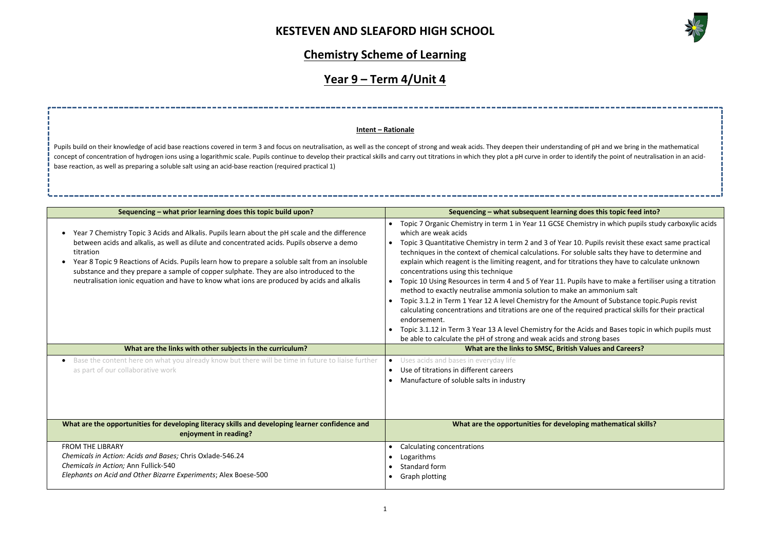

| of pH and we bring in the mathematical<br>entify the point of neutralisation in an acid-                                                                                                           |
|----------------------------------------------------------------------------------------------------------------------------------------------------------------------------------------------------|
|                                                                                                                                                                                                    |
| loes this topic feed into?                                                                                                                                                                         |
| nistry in which pupils study carboxylic acids                                                                                                                                                      |
| . Pupils revisit these exact same practical<br>uble salts they have to determine and<br>tions they have to calculate unknown<br>Is have to make a fertiliser using a titration<br>ın ammonium salt |
| nount of Substance topic.Pupis revist                                                                                                                                                              |
| quired practical skills for their practical                                                                                                                                                        |
| cids and Bases topic in which pupils must<br>strong bases                                                                                                                                          |
| <b>/alues and Careers?</b>                                                                                                                                                                         |
|                                                                                                                                                                                                    |
| ng mathematical skills?                                                                                                                                                                            |
|                                                                                                                                                                                                    |

## **Chemistry Scheme of Learning**

# **Year 9 – Term 4/Unit 4**

| Sequencing - what prior learning does this topic build upon?                                                                                                                                                                                                                                                                                                                                                                                                                                          | Sequencing - what subsequent learning does this topic feed into?                                                                                                                                                                                                                                                                                                                                                                                                                                                                                                                                                                                                                                                                                                                                                                                                                                                                                                                                                                                                                                                             |
|-------------------------------------------------------------------------------------------------------------------------------------------------------------------------------------------------------------------------------------------------------------------------------------------------------------------------------------------------------------------------------------------------------------------------------------------------------------------------------------------------------|------------------------------------------------------------------------------------------------------------------------------------------------------------------------------------------------------------------------------------------------------------------------------------------------------------------------------------------------------------------------------------------------------------------------------------------------------------------------------------------------------------------------------------------------------------------------------------------------------------------------------------------------------------------------------------------------------------------------------------------------------------------------------------------------------------------------------------------------------------------------------------------------------------------------------------------------------------------------------------------------------------------------------------------------------------------------------------------------------------------------------|
| Year 7 Chemistry Topic 3 Acids and Alkalis. Pupils learn about the pH scale and the difference<br>between acids and alkalis, as well as dilute and concentrated acids. Pupils observe a demo<br>titration<br>Year 8 Topic 9 Reactions of Acids. Pupils learn how to prepare a soluble salt from an insoluble<br>substance and they prepare a sample of copper sulphate. They are also introduced to the<br>neutralisation ionic equation and have to know what ions are produced by acids and alkalis | Topic 7 Organic Chemistry in term 1 in Year 11 GCSE Chemistry in which pupils study carboxylic acids<br>which are weak acids<br>Topic 3 Quantitative Chemistry in term 2 and 3 of Year 10. Pupils revisit these exact same practical<br>$\bullet$<br>techniques in the context of chemical calculations. For soluble salts they have to determine and<br>explain which reagent is the limiting reagent, and for titrations they have to calculate unknown<br>concentrations using this technique<br>Topic 10 Using Resources in term 4 and 5 of Year 11. Pupils have to make a fertiliser using a titration<br>$\bullet$<br>method to exactly neutralise ammonia solution to make an ammonium salt<br>Topic 3.1.2 in Term 1 Year 12 A level Chemistry for the Amount of Substance topic. Pupis revist<br>$\bullet$<br>calculating concentrations and titrations are one of the required practical skills for their practical<br>endorsement.<br>Topic 3.1.12 in Term 3 Year 13 A level Chemistry for the Acids and Bases topic in which pupils must<br>be able to calculate the pH of strong and weak acids and strong bases |
| What are the links with other subjects in the curriculum?                                                                                                                                                                                                                                                                                                                                                                                                                                             | What are the links to SMSC, British Values and Careers?                                                                                                                                                                                                                                                                                                                                                                                                                                                                                                                                                                                                                                                                                                                                                                                                                                                                                                                                                                                                                                                                      |
| Base the content here on what you already know but there will be time in future to liaise further<br>as part of our collaborative work                                                                                                                                                                                                                                                                                                                                                                | Uses acids and bases in everyday life<br>$\bullet$<br>Use of titrations in different careers<br>$\bullet$<br>Manufacture of soluble salts in industry<br>$\bullet$                                                                                                                                                                                                                                                                                                                                                                                                                                                                                                                                                                                                                                                                                                                                                                                                                                                                                                                                                           |
|                                                                                                                                                                                                                                                                                                                                                                                                                                                                                                       |                                                                                                                                                                                                                                                                                                                                                                                                                                                                                                                                                                                                                                                                                                                                                                                                                                                                                                                                                                                                                                                                                                                              |
| What are the opportunities for developing literacy skills and developing learner confidence and<br>enjoyment in reading?                                                                                                                                                                                                                                                                                                                                                                              | What are the opportunities for developing mathematical skills?                                                                                                                                                                                                                                                                                                                                                                                                                                                                                                                                                                                                                                                                                                                                                                                                                                                                                                                                                                                                                                                               |

Pupils build on their knowledge of acid base reactions covered in term 3 and focus on neutralisation, as well as the concept of strong and weak acids. They deepen their understanding concept of concentration of hydrogen ions using a logarithmic scale. Pupils continue to develop their practical skills and carry out titrations in which they plot a pH curve in order to ide base reaction, as well as preparing a soluble salt using an acid-base reaction (required practical 1)

### **Intent – Rationale**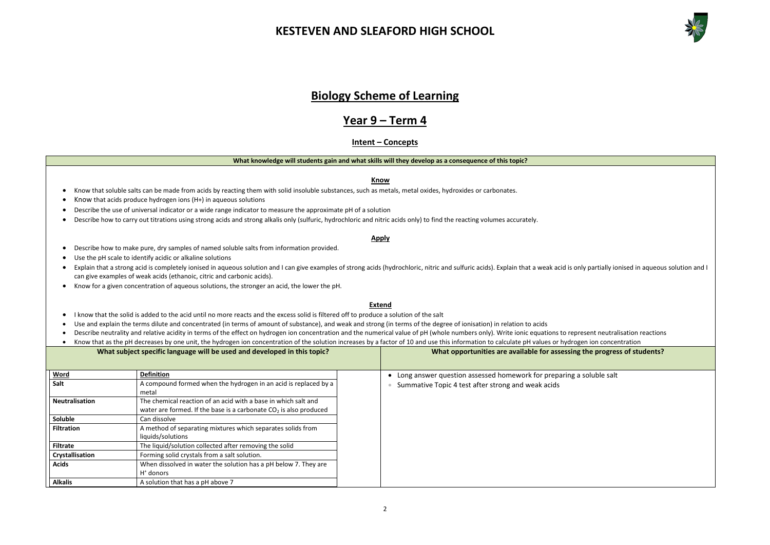

**the progress of students?** soluble salt

### **Biology Scheme of Learning**

### **Year 9 – Term 4**

### **Intent – Concepts**

#### **What knowledge will students gain and what skills will they develop as a consequence of this topic?**

**Know**

#### • Know that soluble salts can be made from acids by reacting them with solid insoluble substances, such as metals, metal oxides, hydroxides or carbonates.

- Know that acids produce hydrogen ions (H+) in aqueous solutions
- Describe the use of universal indicator or a wide range indicator to measure the approximate pH of a solution
- Describe how to carry out titrations using strong acids and strong alkalis only (sulfuric, hydrochloric and nitric acids only) to find the reacting volumes accurately.

#### **Apply**

- Describe how to make pure, dry samples of named soluble salts from information provided.
- Use the pH scale to identify acidic or alkaline solutions
- Explain that a strong acid is completely ionised in aqueous solution and I can give examples of strong acids (hydrochloric, nitric and sulfuric acids). Explain that a weak acid is only partially ionised in aqueous soluti can give examples of weak acids (ethanoic, citric and carbonic acids).
- Know for a given concentration of aqueous solutions, the stronger an acid, the lower the pH.

#### **Extend**

- I know that the solid is added to the acid until no more reacts and the excess solid is filtered off to produce a solution of the salt
- Use and explain the terms dilute and concentrated (in terms of amount of substance), and weak and strong (in terms of the degree of ionisation) in relation to acids
- Describe neutrality and relative acidity in terms of the effect on hydrogen ion concentration and the numerical value of pH (whole numbers only). Write ionic equations to represent neutralisation reactions
- Know that as the pH decreases by one unit, the hydrogen ion concentration of the solution increases by a factor of 10 and use this information to calculate pH values or hydrogen ion concentration

|                       | What subject specific language will be used and developed in this topic? | What opportunities are available for assessing         |
|-----------------------|--------------------------------------------------------------------------|--------------------------------------------------------|
| Word                  | <b>Definition</b>                                                        | Long answer question assessed homework for preparing a |
| Salt                  | A compound formed when the hydrogen in an acid is replaced by a          | Summative Topic 4 test after strong and weak acids     |
|                       | metal                                                                    |                                                        |
| <b>Neutralisation</b> | The chemical reaction of an acid with a base in which salt and           |                                                        |
|                       | water are formed. If the base is a carbonate $CO2$ is also produced      |                                                        |
| Soluble               | Can dissolve                                                             |                                                        |
| <b>Filtration</b>     | A method of separating mixtures which separates solids from              |                                                        |
|                       | liquids/solutions                                                        |                                                        |
| <b>Filtrate</b>       | The liquid/solution collected after removing the solid                   |                                                        |
| Crystallisation       | Forming solid crystals from a salt solution.                             |                                                        |
| <b>Acids</b>          | When dissolved in water the solution has a pH below 7. They are          |                                                        |
|                       | $H^*$ donors                                                             |                                                        |
| <b>Alkalis</b>        | A solution that has a pH above 7                                         |                                                        |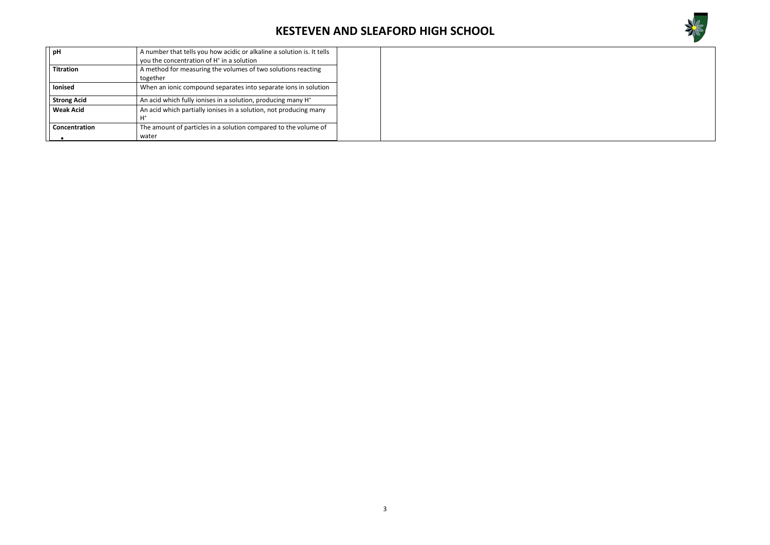

| pH                 | A number that tells you how acidic or alkaline a solution is. It tells<br>you the concentration of H <sup>+</sup> in a solution |
|--------------------|---------------------------------------------------------------------------------------------------------------------------------|
| <b>Titration</b>   | A method for measuring the volumes of two solutions reacting<br>together                                                        |
| <b>lonised</b>     | When an ionic compound separates into separate ions in solution                                                                 |
| <b>Strong Acid</b> | An acid which fully ionises in a solution, producing many H <sup>+</sup>                                                        |
| <b>Weak Acid</b>   | An acid which partially ionises in a solution, not producing many<br>$H^*$                                                      |
| Concentration      | The amount of particles in a solution compared to the volume of<br>water                                                        |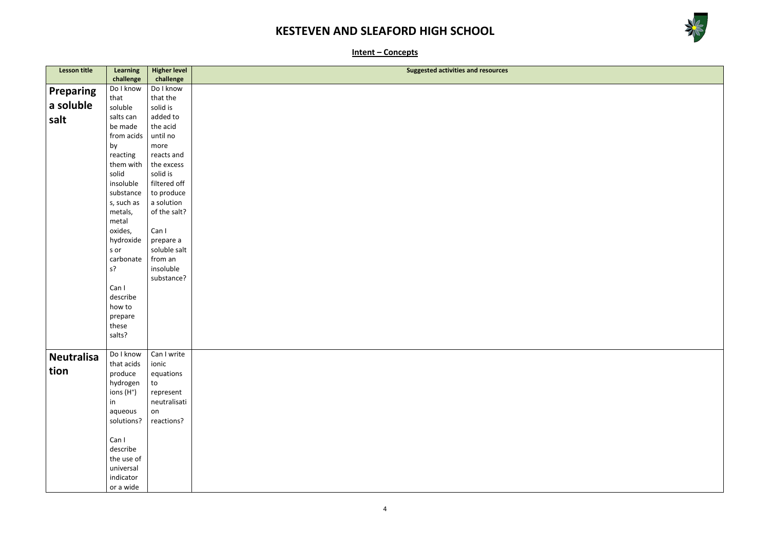



**Intent – Concepts**

| <b>Lesson title</b> | <b>Learning</b> | <b>Higher level</b>     | <b>Suggested activities and resources</b> |
|---------------------|-----------------|-------------------------|-------------------------------------------|
|                     | challenge       | challenge               |                                           |
|                     | Do I know       | Do I know               |                                           |
| <b>Preparing</b>    | that            | that the                |                                           |
| a soluble           | soluble         | solid is                |                                           |
|                     |                 |                         |                                           |
| salt                | salts can       | added to                |                                           |
|                     | be made         | the acid                |                                           |
|                     | from acids      | until no                |                                           |
|                     | by              | more                    |                                           |
|                     | reacting        | reacts and              |                                           |
|                     | them with       | the excess              |                                           |
|                     | solid           | solid is                |                                           |
|                     | insoluble       | filtered off            |                                           |
|                     | substance       | to produce              |                                           |
|                     | s, such as      | a solution              |                                           |
|                     | metals,         | of the salt?            |                                           |
|                     | metal           |                         |                                           |
|                     | oxides,         | Can I                   |                                           |
|                     | hydroxide       | prepare a               |                                           |
|                     | s or            | soluble salt            |                                           |
|                     | carbonate       | from an                 |                                           |
|                     | $s$ ?           | insoluble               |                                           |
|                     |                 | substance?              |                                           |
|                     | Can I           |                         |                                           |
|                     | describe        |                         |                                           |
|                     | how to          |                         |                                           |
|                     | prepare         |                         |                                           |
|                     | these           |                         |                                           |
|                     | salts?          |                         |                                           |
|                     |                 |                         |                                           |
| <b>Neutralisa</b>   |                 | Do I know   Can I write |                                           |
|                     | that acids      | ionic                   |                                           |
| tion                | produce         | equations               |                                           |
|                     | hydrogen        | to                      |                                           |
|                     | ions $(H^+)$    | represent               |                                           |
|                     | in              | neutralisati            |                                           |
|                     | aqueous         | on                      |                                           |
|                     | solutions?      | reactions?              |                                           |
|                     |                 |                         |                                           |
|                     | Can I           |                         |                                           |
|                     | describe        |                         |                                           |
|                     | the use of      |                         |                                           |
|                     | universal       |                         |                                           |
|                     | indicator       |                         |                                           |
|                     | or a wide       |                         |                                           |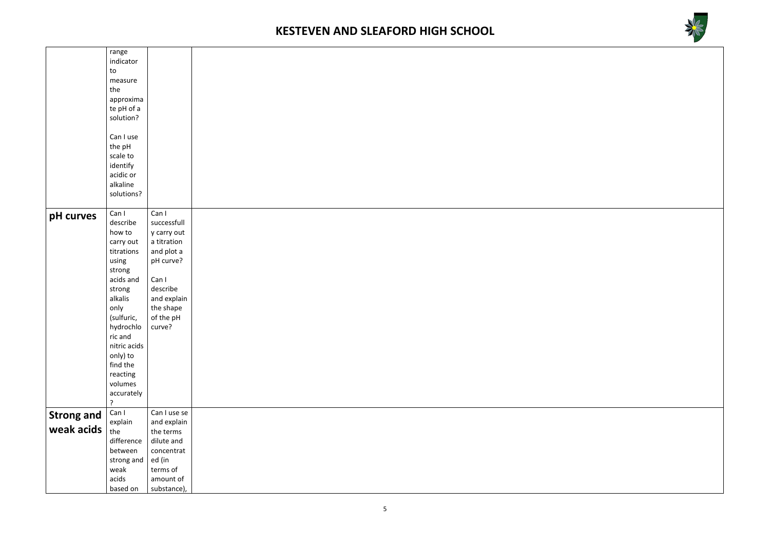

|                   | range        |              |  |
|-------------------|--------------|--------------|--|
|                   | indicator    |              |  |
|                   | to           |              |  |
|                   | measure      |              |  |
|                   | the          |              |  |
|                   | approxima    |              |  |
|                   | te pH of a   |              |  |
|                   | solution?    |              |  |
|                   |              |              |  |
|                   | Can I use    |              |  |
|                   | the pH       |              |  |
|                   | scale to     |              |  |
|                   |              |              |  |
|                   | identify     |              |  |
|                   | acidic or    |              |  |
|                   | alkaline     |              |  |
|                   | solutions?   |              |  |
|                   |              |              |  |
| pH curves         | Can I        | Can I        |  |
|                   | describe     | successfull  |  |
|                   | how to       | y carry out  |  |
|                   | carry out    | a titration  |  |
|                   | titrations   | and plot a   |  |
|                   | using        | pH curve?    |  |
|                   | strong       |              |  |
|                   | acids and    | Can I        |  |
|                   | strong       | describe     |  |
|                   | alkalis      | and explain  |  |
|                   | only         | the shape    |  |
|                   | (sulfuric,   | of the pH    |  |
|                   | hydrochlo    | curve?       |  |
|                   | ric and      |              |  |
|                   | nitric acids |              |  |
|                   | only) to     |              |  |
|                   | find the     |              |  |
|                   | reacting     |              |  |
|                   | volumes      |              |  |
|                   | accurately   |              |  |
|                   | ?            |              |  |
|                   | Can I        | Can I use se |  |
| <b>Strong and</b> | explain      | and explain  |  |
| weak acids        | the          | the terms    |  |
|                   | difference   | dilute and   |  |
|                   | between      | concentrat   |  |
|                   | strong and   | ed (in       |  |
|                   | weak         | terms of     |  |
|                   | acids        | amount of    |  |
|                   | based on     | substance),  |  |
|                   |              |              |  |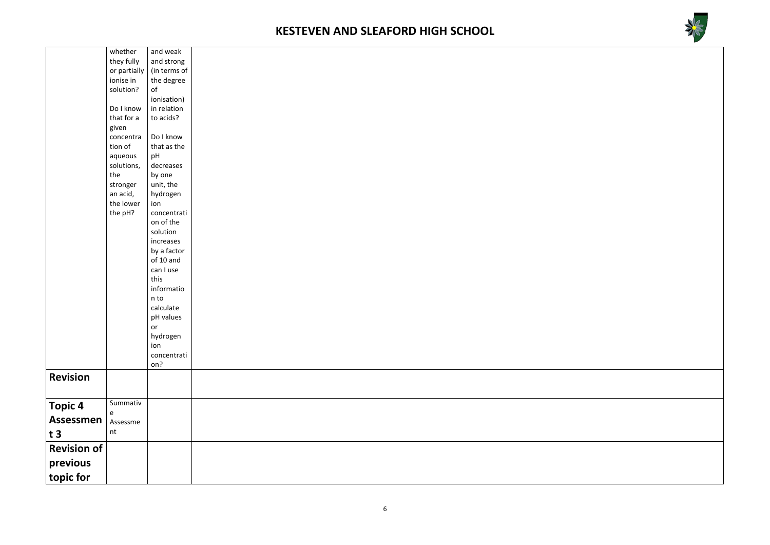



|                       | whether              | and weak           |  |  |  |  |
|-----------------------|----------------------|--------------------|--|--|--|--|
|                       | they fully           | and strong         |  |  |  |  |
|                       | or partially         | (in terms of       |  |  |  |  |
|                       | ionise in            | the degree         |  |  |  |  |
|                       | solution?            | $\circ$ f          |  |  |  |  |
|                       |                      | ionisation)        |  |  |  |  |
|                       | Do I know            | in relation        |  |  |  |  |
|                       | that for a           | to acids?          |  |  |  |  |
|                       | given                | Do I know          |  |  |  |  |
|                       | concentra<br>tion of | that as the        |  |  |  |  |
|                       | aqueous              | pH                 |  |  |  |  |
|                       | solutions,           | decreases          |  |  |  |  |
|                       | the                  | by one             |  |  |  |  |
|                       | stronger             | unit, the          |  |  |  |  |
|                       | an acid,             | hydrogen           |  |  |  |  |
|                       | the lower            | ion                |  |  |  |  |
|                       | the pH?              | concentrati        |  |  |  |  |
|                       |                      | on of the          |  |  |  |  |
|                       |                      | solution           |  |  |  |  |
|                       |                      | increases          |  |  |  |  |
|                       |                      | by a factor        |  |  |  |  |
|                       |                      | of 10 and          |  |  |  |  |
|                       |                      | can I use          |  |  |  |  |
|                       |                      | this               |  |  |  |  |
|                       |                      | informatio         |  |  |  |  |
|                       |                      | n to               |  |  |  |  |
|                       |                      | calculate          |  |  |  |  |
|                       |                      | pH values          |  |  |  |  |
|                       |                      | or                 |  |  |  |  |
|                       |                      | hydrogen           |  |  |  |  |
|                       |                      | ion<br>concentrati |  |  |  |  |
|                       |                      | on?                |  |  |  |  |
| <b>Revision</b>       |                      |                    |  |  |  |  |
|                       |                      |                    |  |  |  |  |
|                       |                      |                    |  |  |  |  |
| <b>Topic 4</b>        | Summativ             |                    |  |  |  |  |
| <b>Assessmen</b>      | e                    |                    |  |  |  |  |
|                       | Assessme             |                    |  |  |  |  |
| t3                    | nt                   |                    |  |  |  |  |
| <b>Revision of</b>    |                      |                    |  |  |  |  |
|                       |                      |                    |  |  |  |  |
| previous<br>topic for |                      |                    |  |  |  |  |
|                       |                      |                    |  |  |  |  |